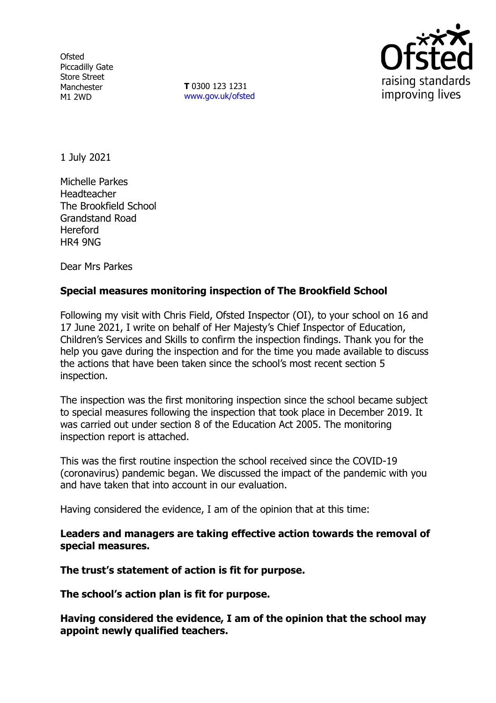**Ofsted** Piccadilly Gate Store Street Manchester M1 2WD

**T** 0300 123 1231 [www.gov.uk/ofsted](http://www.gov.uk/ofsted)



1 July 2021

Michelle Parkes Headteacher The Brookfield School Grandstand Road Hereford HR4 9NG

Dear Mrs Parkes

## **Special measures monitoring inspection of The Brookfield School**

Following my visit with Chris Field, Ofsted Inspector (OI), to your school on 16 and 17 June 2021, I write on behalf of Her Majesty's Chief Inspector of Education, Children's Services and Skills to confirm the inspection findings. Thank you for the help you gave during the inspection and for the time you made available to discuss the actions that have been taken since the school's most recent section 5 inspection.

The inspection was the first monitoring inspection since the school became subject to special measures following the inspection that took place in December 2019. It was carried out under section 8 of the Education Act 2005. The monitoring inspection report is attached.

This was the first routine inspection the school received since the COVID-19 (coronavirus) pandemic began. We discussed the impact of the pandemic with you and have taken that into account in our evaluation.

Having considered the evidence, I am of the opinion that at this time:

**Leaders and managers are taking effective action towards the removal of special measures.**

**The trust's statement of action is fit for purpose.**

**The school's action plan is fit for purpose.**

**Having considered the evidence, I am of the opinion that the school may appoint newly qualified teachers.**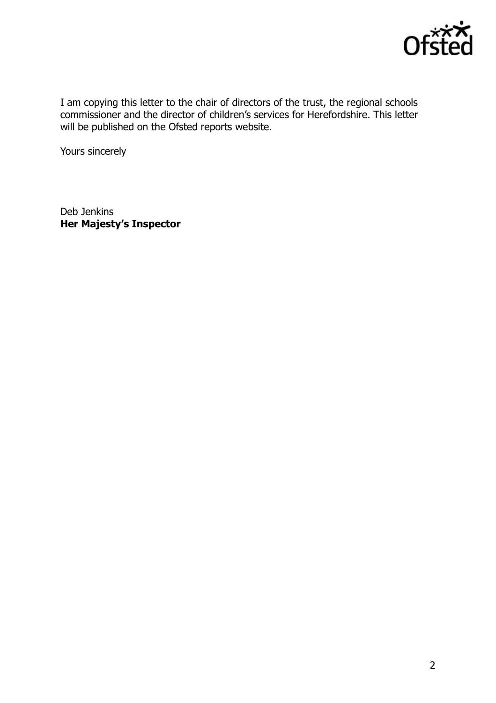

I am copying this letter to the chair of directors of the trust, the regional schools commissioner and the director of children's services for Herefordshire. This letter will be published on the Ofsted reports website.

Yours sincerely

Deb Jenkins **Her Majesty's Inspector**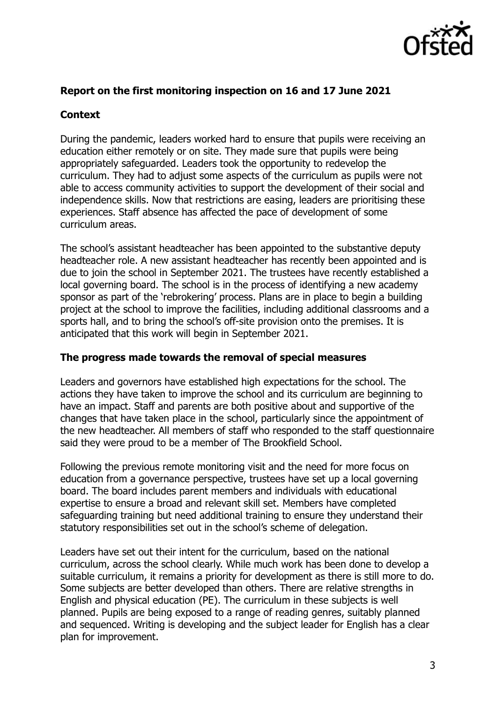

### **Report on the first monitoring inspection on 16 and 17 June 2021**

### **Context**

During the pandemic, leaders worked hard to ensure that pupils were receiving an education either remotely or on site. They made sure that pupils were being appropriately safeguarded. Leaders took the opportunity to redevelop the curriculum. They had to adjust some aspects of the curriculum as pupils were not able to access community activities to support the development of their social and independence skills. Now that restrictions are easing, leaders are prioritising these experiences. Staff absence has affected the pace of development of some curriculum areas.

The school's assistant headteacher has been appointed to the substantive deputy headteacher role. A new assistant headteacher has recently been appointed and is due to join the school in September 2021. The trustees have recently established a local governing board. The school is in the process of identifying a new academy sponsor as part of the 'rebrokering' process. Plans are in place to begin a building project at the school to improve the facilities, including additional classrooms and a sports hall, and to bring the school's off-site provision onto the premises. It is anticipated that this work will begin in September 2021.

#### **The progress made towards the removal of special measures**

Leaders and governors have established high expectations for the school. The actions they have taken to improve the school and its curriculum are beginning to have an impact. Staff and parents are both positive about and supportive of the changes that have taken place in the school, particularly since the appointment of the new headteacher. All members of staff who responded to the staff questionnaire said they were proud to be a member of The Brookfield School.

Following the previous remote monitoring visit and the need for more focus on education from a governance perspective, trustees have set up a local governing board. The board includes parent members and individuals with educational expertise to ensure a broad and relevant skill set. Members have completed safeguarding training but need additional training to ensure they understand their statutory responsibilities set out in the school's scheme of delegation.

Leaders have set out their intent for the curriculum, based on the national curriculum, across the school clearly. While much work has been done to develop a suitable curriculum, it remains a priority for development as there is still more to do. Some subjects are better developed than others. There are relative strengths in English and physical education (PE). The curriculum in these subjects is well planned. Pupils are being exposed to a range of reading genres, suitably planned and sequenced. Writing is developing and the subject leader for English has a clear plan for improvement.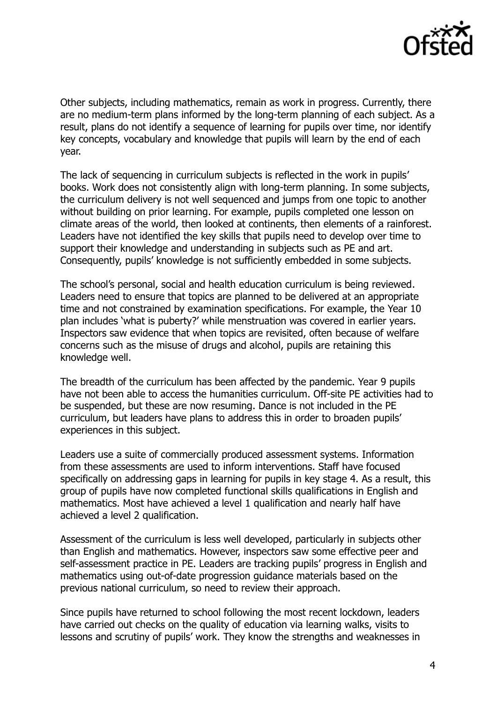

Other subjects, including mathematics, remain as work in progress. Currently, there are no medium-term plans informed by the long-term planning of each subject. As a result, plans do not identify a sequence of learning for pupils over time, nor identify key concepts, vocabulary and knowledge that pupils will learn by the end of each year.

The lack of sequencing in curriculum subjects is reflected in the work in pupils' books. Work does not consistently align with long-term planning. In some subjects, the curriculum delivery is not well sequenced and jumps from one topic to another without building on prior learning. For example, pupils completed one lesson on climate areas of the world, then looked at continents, then elements of a rainforest. Leaders have not identified the key skills that pupils need to develop over time to support their knowledge and understanding in subjects such as PE and art. Consequently, pupils' knowledge is not sufficiently embedded in some subjects.

The school's personal, social and health education curriculum is being reviewed. Leaders need to ensure that topics are planned to be delivered at an appropriate time and not constrained by examination specifications. For example, the Year 10 plan includes 'what is puberty?' while menstruation was covered in earlier years. Inspectors saw evidence that when topics are revisited, often because of welfare concerns such as the misuse of drugs and alcohol, pupils are retaining this knowledge well.

The breadth of the curriculum has been affected by the pandemic. Year 9 pupils have not been able to access the humanities curriculum. Off-site PE activities had to be suspended, but these are now resuming. Dance is not included in the PE curriculum, but leaders have plans to address this in order to broaden pupils' experiences in this subject.

Leaders use a suite of commercially produced assessment systems. Information from these assessments are used to inform interventions. Staff have focused specifically on addressing gaps in learning for pupils in key stage 4. As a result, this group of pupils have now completed functional skills qualifications in English and mathematics. Most have achieved a level 1 qualification and nearly half have achieved a level 2 qualification.

Assessment of the curriculum is less well developed, particularly in subjects other than English and mathematics. However, inspectors saw some effective peer and self-assessment practice in PE. Leaders are tracking pupils' progress in English and mathematics using out-of-date progression guidance materials based on the previous national curriculum, so need to review their approach.

Since pupils have returned to school following the most recent lockdown, leaders have carried out checks on the quality of education via learning walks, visits to lessons and scrutiny of pupils' work. They know the strengths and weaknesses in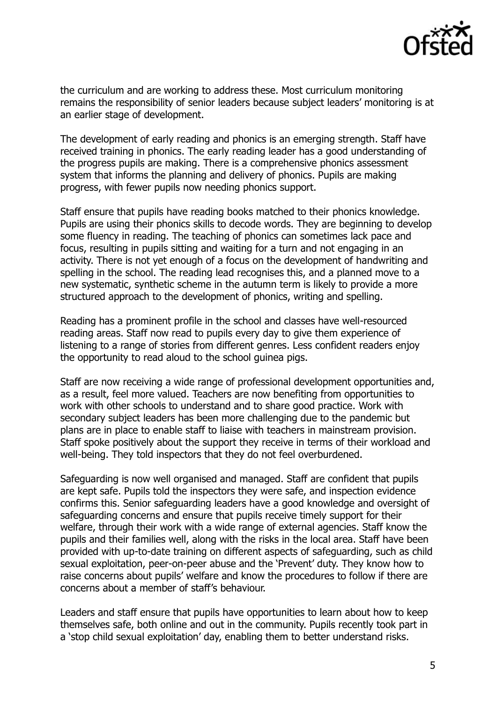

the curriculum and are working to address these. Most curriculum monitoring remains the responsibility of senior leaders because subject leaders' monitoring is at an earlier stage of development.

The development of early reading and phonics is an emerging strength. Staff have received training in phonics. The early reading leader has a good understanding of the progress pupils are making. There is a comprehensive phonics assessment system that informs the planning and delivery of phonics. Pupils are making progress, with fewer pupils now needing phonics support.

Staff ensure that pupils have reading books matched to their phonics knowledge. Pupils are using their phonics skills to decode words. They are beginning to develop some fluency in reading. The teaching of phonics can sometimes lack pace and focus, resulting in pupils sitting and waiting for a turn and not engaging in an activity. There is not yet enough of a focus on the development of handwriting and spelling in the school. The reading lead recognises this, and a planned move to a new systematic, synthetic scheme in the autumn term is likely to provide a more structured approach to the development of phonics, writing and spelling.

Reading has a prominent profile in the school and classes have well-resourced reading areas. Staff now read to pupils every day to give them experience of listening to a range of stories from different genres. Less confident readers enjoy the opportunity to read aloud to the school guinea pigs.

Staff are now receiving a wide range of professional development opportunities and, as a result, feel more valued. Teachers are now benefiting from opportunities to work with other schools to understand and to share good practice. Work with secondary subject leaders has been more challenging due to the pandemic but plans are in place to enable staff to liaise with teachers in mainstream provision. Staff spoke positively about the support they receive in terms of their workload and well-being. They told inspectors that they do not feel overburdened.

Safeguarding is now well organised and managed. Staff are confident that pupils are kept safe. Pupils told the inspectors they were safe, and inspection evidence confirms this. Senior safeguarding leaders have a good knowledge and oversight of safeguarding concerns and ensure that pupils receive timely support for their welfare, through their work with a wide range of external agencies. Staff know the pupils and their families well, along with the risks in the local area. Staff have been provided with up-to-date training on different aspects of safeguarding, such as child sexual exploitation, peer-on-peer abuse and the 'Prevent' duty. They know how to raise concerns about pupils' welfare and know the procedures to follow if there are concerns about a member of staff's behaviour.

Leaders and staff ensure that pupils have opportunities to learn about how to keep themselves safe, both online and out in the community. Pupils recently took part in a 'stop child sexual exploitation' day, enabling them to better understand risks.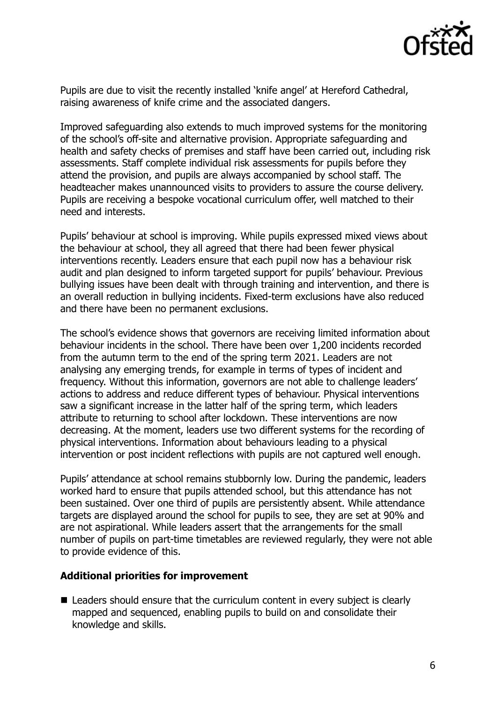

Pupils are due to visit the recently installed 'knife angel' at Hereford Cathedral, raising awareness of knife crime and the associated dangers.

Improved safeguarding also extends to much improved systems for the monitoring of the school's off-site and alternative provision. Appropriate safeguarding and health and safety checks of premises and staff have been carried out, including risk assessments. Staff complete individual risk assessments for pupils before they attend the provision, and pupils are always accompanied by school staff. The headteacher makes unannounced visits to providers to assure the course delivery. Pupils are receiving a bespoke vocational curriculum offer, well matched to their need and interests.

Pupils' behaviour at school is improving. While pupils expressed mixed views about the behaviour at school, they all agreed that there had been fewer physical interventions recently. Leaders ensure that each pupil now has a behaviour risk audit and plan designed to inform targeted support for pupils' behaviour. Previous bullying issues have been dealt with through training and intervention, and there is an overall reduction in bullying incidents. Fixed-term exclusions have also reduced and there have been no permanent exclusions.

The school's evidence shows that governors are receiving limited information about behaviour incidents in the school. There have been over 1,200 incidents recorded from the autumn term to the end of the spring term 2021. Leaders are not analysing any emerging trends, for example in terms of types of incident and frequency. Without this information, governors are not able to challenge leaders' actions to address and reduce different types of behaviour. Physical interventions saw a significant increase in the latter half of the spring term, which leaders attribute to returning to school after lockdown. These interventions are now decreasing. At the moment, leaders use two different systems for the recording of physical interventions. Information about behaviours leading to a physical intervention or post incident reflections with pupils are not captured well enough.

Pupils' attendance at school remains stubbornly low. During the pandemic, leaders worked hard to ensure that pupils attended school, but this attendance has not been sustained. Over one third of pupils are persistently absent. While attendance targets are displayed around the school for pupils to see, they are set at 90% and are not aspirational. While leaders assert that the arrangements for the small number of pupils on part-time timetables are reviewed regularly, they were not able to provide evidence of this.

#### **Additional priorities for improvement**

■ Leaders should ensure that the curriculum content in every subject is clearly mapped and sequenced, enabling pupils to build on and consolidate their knowledge and skills.